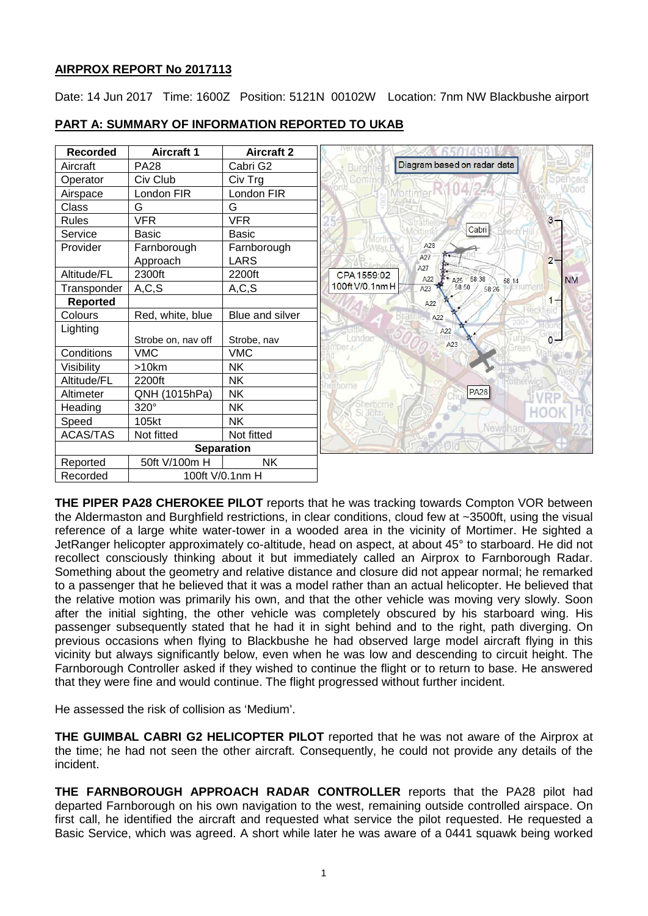# **AIRPROX REPORT No 2017113**

Date: 14 Jun 2017 Time: 1600Z Position: 5121N 00102W Location: 7nm NW Blackbushe airport

| <b>Recorded</b>   | <b>Aircraft 1</b>  | <b>Aircraft 2</b> |                                                       |
|-------------------|--------------------|-------------------|-------------------------------------------------------|
| Aircraft          | <b>PA28</b>        | Cabri G2          | Diagram based on radar data<br><b>Burgh</b>           |
| Operator          | Civ Club           | Civ Trg           | encers                                                |
| Airspace          | London FIR         | London FIR        |                                                       |
| Class             | G                  | G                 |                                                       |
| <b>Rules</b>      | <b>VFR</b>         | <b>VFR</b>        | $3 -$                                                 |
| Service           | <b>Basic</b>       | <b>Basic</b>      | Cabri                                                 |
| Provider          | Farnborough        | Farnborough       | A28                                                   |
|                   | Approach           | <b>LARS</b>       | A27<br>$2 -$<br>A27                                   |
| Altitude/FL       | 2300ft             | 2200ft            | CPA 1559:02<br>A25 58:38<br>A22<br><b>NM</b><br>58:14 |
| Transponder       | A, C, S            | A, C, S           | 100ft V/0.1nm H<br>58:50<br>A23<br>58:26              |
| <b>Reported</b>   |                    |                   | A22                                                   |
| Colours           | Red, white, blue   | Blue and silver   | A22                                                   |
| Lighting          |                    |                   | A22                                                   |
|                   | Strobe on, nav off | Strobe, nav       | $\overline{0}$<br>London<br>A23<br>mber /             |
| Conditions        | <b>VMC</b>         | <b>VMC</b>        |                                                       |
| Visibility        | >10km              | <b>NK</b>         |                                                       |
| Altitude/FL       | 2200ft             | <b>NK</b>         |                                                       |
| Altimeter         | QNH (1015hPa)      | <b>NK</b>         | <b>PA28</b>                                           |
| Heading           | 320°               | <b>NK</b>         |                                                       |
| Speed             | 105kt              | <b>NK</b>         | Newtham                                               |
| <b>ACAS/TAS</b>   | Not fitted         | Not fitted        |                                                       |
| <b>Separation</b> |                    |                   |                                                       |
| Reported          | 50ft V/100m H      | <b>NK</b>         |                                                       |
| Recorded          | 100ft V/0.1nm H    |                   |                                                       |

# **PART A: SUMMARY OF INFORMATION REPORTED TO UKAB**

**THE PIPER PA28 CHEROKEE PILOT** reports that he was tracking towards Compton VOR between the Aldermaston and Burghfield restrictions, in clear conditions, cloud few at ~3500ft, using the visual reference of a large white water-tower in a wooded area in the vicinity of Mortimer. He sighted a JetRanger helicopter approximately co-altitude, head on aspect, at about 45° to starboard. He did not recollect consciously thinking about it but immediately called an Airprox to Farnborough Radar. Something about the geometry and relative distance and closure did not appear normal; he remarked to a passenger that he believed that it was a model rather than an actual helicopter. He believed that the relative motion was primarily his own, and that the other vehicle was moving very slowly. Soon after the initial sighting, the other vehicle was completely obscured by his starboard wing. His passenger subsequently stated that he had it in sight behind and to the right, path diverging. On previous occasions when flying to Blackbushe he had observed large model aircraft flying in this vicinity but always significantly below, even when he was low and descending to circuit height. The Farnborough Controller asked if they wished to continue the flight or to return to base. He answered that they were fine and would continue. The flight progressed without further incident.

He assessed the risk of collision as 'Medium'.

**THE GUIMBAL CABRI G2 HELICOPTER PILOT** reported that he was not aware of the Airprox at the time; he had not seen the other aircraft. Consequently, he could not provide any details of the incident.

**THE FARNBOROUGH APPROACH RADAR CONTROLLER** reports that the PA28 pilot had departed Farnborough on his own navigation to the west, remaining outside controlled airspace. On first call, he identified the aircraft and requested what service the pilot requested. He requested a Basic Service, which was agreed. A short while later he was aware of a 0441 squawk being worked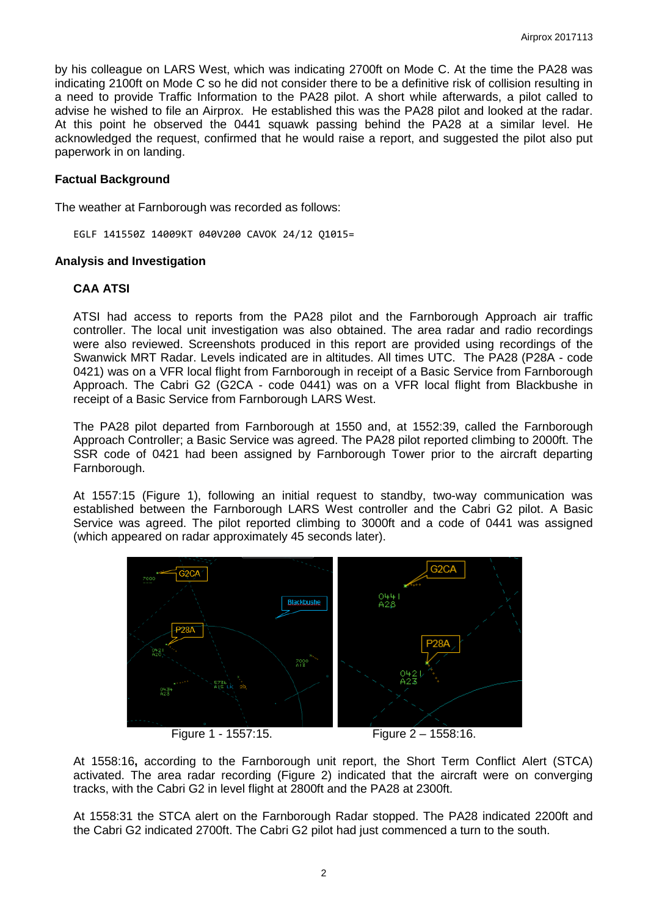by his colleague on LARS West, which was indicating 2700ft on Mode C. At the time the PA28 was indicating 2100ft on Mode C so he did not consider there to be a definitive risk of collision resulting in a need to provide Traffic Information to the PA28 pilot. A short while afterwards, a pilot called to advise he wished to file an Airprox. He established this was the PA28 pilot and looked at the radar. At this point he observed the 0441 squawk passing behind the PA28 at a similar level. He acknowledged the request, confirmed that he would raise a report, and suggested the pilot also put paperwork in on landing.

## **Factual Background**

The weather at Farnborough was recorded as follows:

EGLF 141550Z 14009KT 040V200 CAVOK 24/12 Q1015=

#### **Analysis and Investigation**

### **CAA ATSI**

ATSI had access to reports from the PA28 pilot and the Farnborough Approach air traffic controller. The local unit investigation was also obtained. The area radar and radio recordings were also reviewed. Screenshots produced in this report are provided using recordings of the Swanwick MRT Radar. Levels indicated are in altitudes. All times UTC. The PA28 (P28A - code 0421) was on a VFR local flight from Farnborough in receipt of a Basic Service from Farnborough Approach. The Cabri G2 (G2CA - code 0441) was on a VFR local flight from Blackbushe in receipt of a Basic Service from Farnborough LARS West.

The PA28 pilot departed from Farnborough at 1550 and, at 1552:39, called the Farnborough Approach Controller; a Basic Service was agreed. The PA28 pilot reported climbing to 2000ft. The SSR code of 0421 had been assigned by Farnborough Tower prior to the aircraft departing Farnborough.

At 1557:15 (Figure 1), following an initial request to standby, two-way communication was established between the Farnborough LARS West controller and the Cabri G2 pilot. A Basic Service was agreed. The pilot reported climbing to 3000ft and a code of 0441 was assigned (which appeared on radar approximately 45 seconds later).





Figure 1 - 1557:15. Figure 2 – 1558:16.

At 1558:16**,** according to the Farnborough unit report, the Short Term Conflict Alert (STCA) activated. The area radar recording (Figure 2) indicated that the aircraft were on converging tracks, with the Cabri G2 in level flight at 2800ft and the PA28 at 2300ft.

At 1558:31 the STCA alert on the Farnborough Radar stopped. The PA28 indicated 2200ft and the Cabri G2 indicated 2700ft. The Cabri G2 pilot had just commenced a turn to the south.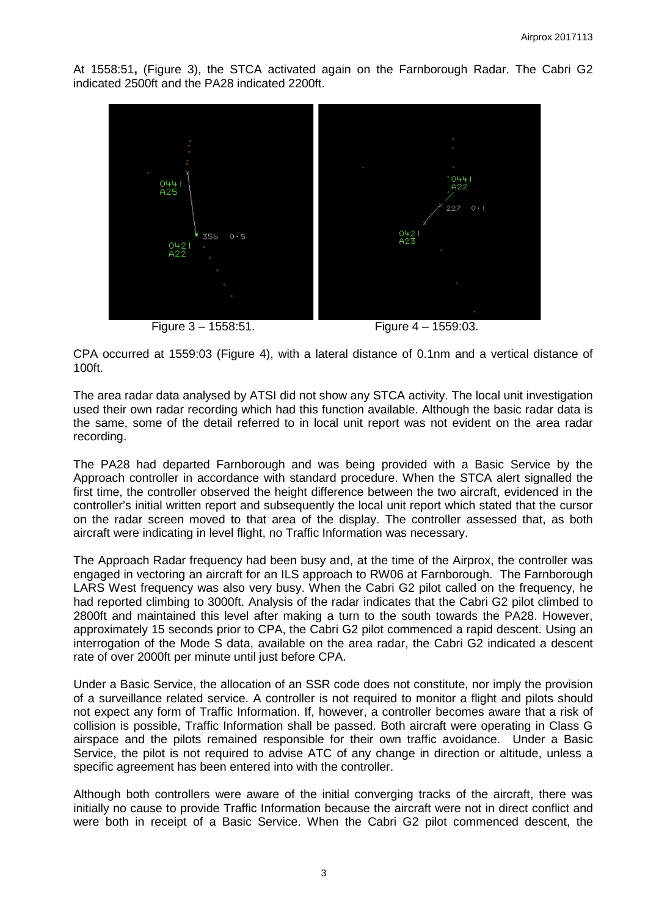At 1558:51**,** (Figure 3), the STCA activated again on the Farnborough Radar. The Cabri G2 indicated 2500ft and the PA28 indicated 2200ft.



Figure 3 – 1558:51. Figure 4 – 1559:03.

CPA occurred at 1559:03 (Figure 4), with a lateral distance of 0.1nm and a vertical distance of 100ft.

The area radar data analysed by ATSI did not show any STCA activity. The local unit investigation used their own radar recording which had this function available. Although the basic radar data is the same, some of the detail referred to in local unit report was not evident on the area radar recording.

The PA28 had departed Farnborough and was being provided with a Basic Service by the Approach controller in accordance with standard procedure. When the STCA alert signalled the first time, the controller observed the height difference between the two aircraft, evidenced in the controller's initial written report and subsequently the local unit report which stated that the cursor on the radar screen moved to that area of the display. The controller assessed that, as both aircraft were indicating in level flight, no Traffic Information was necessary.

The Approach Radar frequency had been busy and, at the time of the Airprox, the controller was engaged in vectoring an aircraft for an ILS approach to RW06 at Farnborough. The Farnborough LARS West frequency was also very busy. When the Cabri G2 pilot called on the frequency, he had reported climbing to 3000ft. Analysis of the radar indicates that the Cabri G2 pilot climbed to 2800ft and maintained this level after making a turn to the south towards the PA28. However, approximately 15 seconds prior to CPA, the Cabri G2 pilot commenced a rapid descent. Using an interrogation of the Mode S data, available on the area radar, the Cabri G2 indicated a descent rate of over 2000ft per minute until just before CPA.

Under a Basic Service, the allocation of an SSR code does not constitute, nor imply the provision of a surveillance related service. A controller is not required to monitor a flight and pilots should not expect any form of Traffic Information. If, however, a controller becomes aware that a risk of collision is possible, Traffic Information shall be passed. Both aircraft were operating in Class G airspace and the pilots remained responsible for their own traffic avoidance. Under a Basic Service, the pilot is not required to advise ATC of any change in direction or altitude, unless a specific agreement has been entered into with the controller.

Although both controllers were aware of the initial converging tracks of the aircraft, there was initially no cause to provide Traffic Information because the aircraft were not in direct conflict and were both in receipt of a Basic Service. When the Cabri G2 pilot commenced descent, the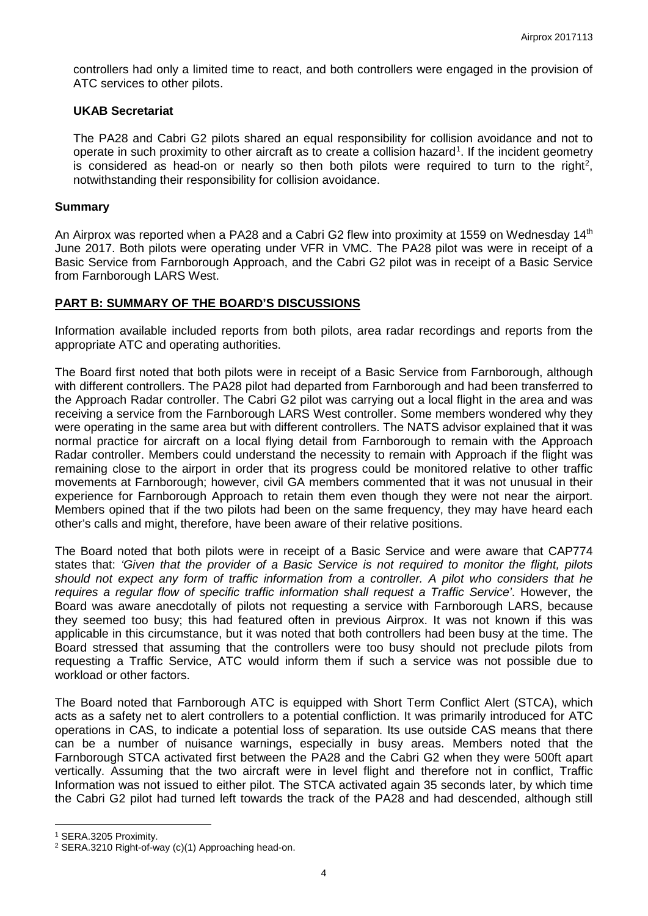controllers had only a limited time to react, and both controllers were engaged in the provision of ATC services to other pilots.

### **UKAB Secretariat**

The PA28 and Cabri G2 pilots shared an equal responsibility for collision avoidance and not to operate in such proximity to other aircraft as to create a collision hazard<sup>[1](#page-3-0)</sup>. If the incident geometry is considered as head-on or nearly so then both pilots were required to turn to the right<sup>[2](#page-3-1)</sup>, notwithstanding their responsibility for collision avoidance.

#### **Summary**

An Airprox was reported when a PA28 and a Cabri G2 flew into proximity at 1559 on Wednesday 14<sup>th</sup> June 2017. Both pilots were operating under VFR in VMC. The PA28 pilot was were in receipt of a Basic Service from Farnborough Approach, and the Cabri G2 pilot was in receipt of a Basic Service from Farnborough LARS West.

### **PART B: SUMMARY OF THE BOARD'S DISCUSSIONS**

Information available included reports from both pilots, area radar recordings and reports from the appropriate ATC and operating authorities.

The Board first noted that both pilots were in receipt of a Basic Service from Farnborough, although with different controllers. The PA28 pilot had departed from Farnborough and had been transferred to the Approach Radar controller. The Cabri G2 pilot was carrying out a local flight in the area and was receiving a service from the Farnborough LARS West controller. Some members wondered why they were operating in the same area but with different controllers. The NATS advisor explained that it was normal practice for aircraft on a local flying detail from Farnborough to remain with the Approach Radar controller. Members could understand the necessity to remain with Approach if the flight was remaining close to the airport in order that its progress could be monitored relative to other traffic movements at Farnborough; however, civil GA members commented that it was not unusual in their experience for Farnborough Approach to retain them even though they were not near the airport. Members opined that if the two pilots had been on the same frequency, they may have heard each other's calls and might, therefore, have been aware of their relative positions.

The Board noted that both pilots were in receipt of a Basic Service and were aware that CAP774 states that: *'Given that the provider of a Basic Service is not required to monitor the flight, pilots should not expect any form of traffic information from a controller. A pilot who considers that he requires a regular flow of specific traffic information shall request a Traffic Service'*. However, the Board was aware anecdotally of pilots not requesting a service with Farnborough LARS, because they seemed too busy; this had featured often in previous Airprox. It was not known if this was applicable in this circumstance, but it was noted that both controllers had been busy at the time. The Board stressed that assuming that the controllers were too busy should not preclude pilots from requesting a Traffic Service, ATC would inform them if such a service was not possible due to workload or other factors.

The Board noted that Farnborough ATC is equipped with Short Term Conflict Alert (STCA), which acts as a safety net to alert controllers to a potential confliction. It was primarily introduced for ATC operations in CAS, to indicate a potential loss of separation. Its use outside CAS means that there can be a number of nuisance warnings, especially in busy areas. Members noted that the Farnborough STCA activated first between the PA28 and the Cabri G2 when they were 500ft apart vertically. Assuming that the two aircraft were in level flight and therefore not in conflict, Traffic Information was not issued to either pilot. The STCA activated again 35 seconds later, by which time the Cabri G2 pilot had turned left towards the track of the PA28 and had descended, although still

l

<span id="page-3-0"></span><sup>1</sup> SERA.3205 Proximity.

<span id="page-3-1"></span><sup>2</sup> SERA.3210 Right-of-way (c)(1) Approaching head-on.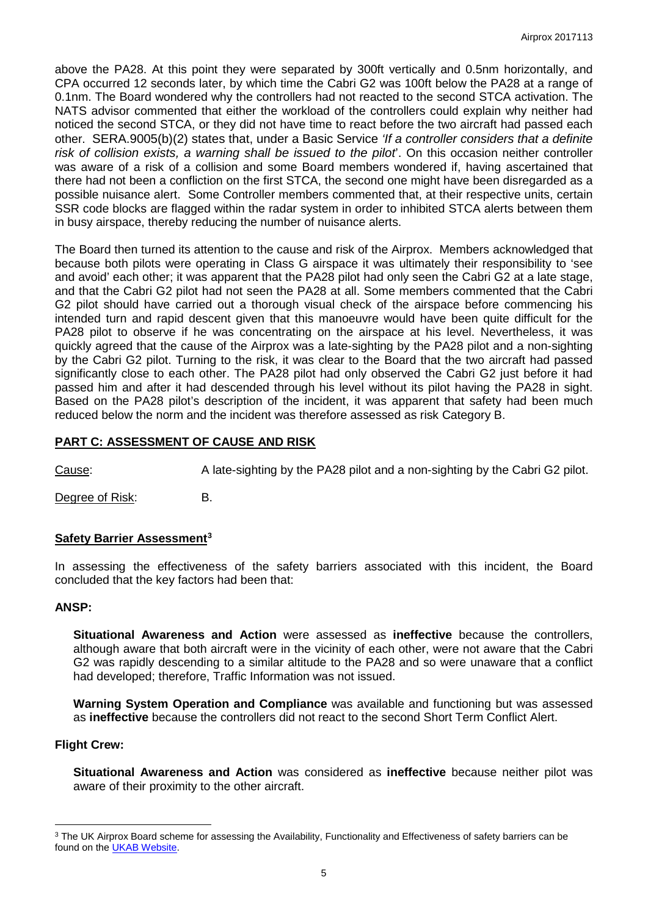above the PA28. At this point they were separated by 300ft vertically and 0.5nm horizontally, and CPA occurred 12 seconds later, by which time the Cabri G2 was 100ft below the PA28 at a range of 0.1nm. The Board wondered why the controllers had not reacted to the second STCA activation. The NATS advisor commented that either the workload of the controllers could explain why neither had noticed the second STCA, or they did not have time to react before the two aircraft had passed each other. SERA.9005(b)(2) states that, under a Basic Service *'If a controller considers that a definite risk of collision exists, a warning shall be issued to the pilot*'. On this occasion neither controller was aware of a risk of a collision and some Board members wondered if, having ascertained that there had not been a confliction on the first STCA, the second one might have been disregarded as a possible nuisance alert. Some Controller members commented that, at their respective units, certain SSR code blocks are flagged within the radar system in order to inhibited STCA alerts between them in busy airspace, thereby reducing the number of nuisance alerts.

The Board then turned its attention to the cause and risk of the Airprox. Members acknowledged that because both pilots were operating in Class G airspace it was ultimately their responsibility to 'see and avoid' each other; it was apparent that the PA28 pilot had only seen the Cabri G2 at a late stage, and that the Cabri G2 pilot had not seen the PA28 at all. Some members commented that the Cabri G2 pilot should have carried out a thorough visual check of the airspace before commencing his intended turn and rapid descent given that this manoeuvre would have been quite difficult for the PA28 pilot to observe if he was concentrating on the airspace at his level. Nevertheless, it was quickly agreed that the cause of the Airprox was a late-sighting by the PA28 pilot and a non-sighting by the Cabri G2 pilot. Turning to the risk, it was clear to the Board that the two aircraft had passed significantly close to each other. The PA28 pilot had only observed the Cabri G2 just before it had passed him and after it had descended through his level without its pilot having the PA28 in sight. Based on the PA28 pilot's description of the incident, it was apparent that safety had been much reduced below the norm and the incident was therefore assessed as risk Category B.

# **PART C: ASSESSMENT OF CAUSE AND RISK**

Cause: A late-sighting by the PA28 pilot and a non-sighting by the Cabri G2 pilot.

Degree of Risk: B.

## **Safety Barrier Assessment[3](#page-4-0)**

In assessing the effectiveness of the safety barriers associated with this incident, the Board concluded that the key factors had been that:

#### **ANSP:**

**Situational Awareness and Action** were assessed as **ineffective** because the controllers, although aware that both aircraft were in the vicinity of each other, were not aware that the Cabri G2 was rapidly descending to a similar altitude to the PA28 and so were unaware that a conflict had developed; therefore, Traffic Information was not issued.

**Warning System Operation and Compliance** was available and functioning but was assessed as **ineffective** because the controllers did not react to the second Short Term Conflict Alert.

#### **Flight Crew:**

l

**Situational Awareness and Action** was considered as **ineffective** because neither pilot was aware of their proximity to the other aircraft.

<span id="page-4-0"></span><sup>&</sup>lt;sup>3</sup> The UK Airprox Board scheme for assessing the Availability, Functionality and Effectiveness of safety barriers can be found on the **UKAB Website**.